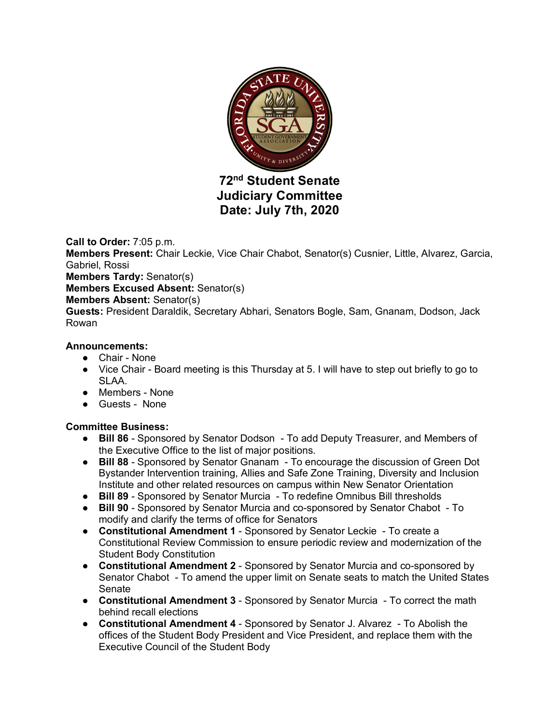

**72nd Student Senate Judiciary Committee Date: July 7th, 2020**

# **Call to Order:** 7:05 p.m.

**Members Present:** Chair Leckie, Vice Chair Chabot, Senator(s) Cusnier, Little, Alvarez, Garcia, Gabriel, Rossi

**Members Tardy:** Senator(s)

**Members Excused Absent:** Senator(s)

#### **Members Absent:** Senator(s)

**Guests:** President Daraldik, Secretary Abhari, Senators Bogle, Sam, Gnanam, Dodson, Jack Rowan

#### **Announcements:**

- Chair None
- Vice Chair Board meeting is this Thursday at 5. I will have to step out briefly to go to SLAA.
- Members None
- Guests None

## **Committee Business:**

- **Bill 86** Sponsored by Senator Dodson To add Deputy Treasurer, and Members of the Executive Office to the list of major positions.
- **Bill 88** Sponsored by Senator Gnanam To encourage the discussion of Green Dot Bystander Intervention training, Allies and Safe Zone Training, Diversity and Inclusion Institute and other related resources on campus within New Senator Orientation
- **Bill 89** Sponsored by Senator Murcia To redefine Omnibus Bill thresholds
- **Bill 90** Sponsored by Senator Murcia and co-sponsored by Senator Chabot To modify and clarify the terms of office for Senators
- **Constitutional Amendment 1** Sponsored by Senator Leckie To create a Constitutional Review Commission to ensure periodic review and modernization of the Student Body Constitution
- **Constitutional Amendment 2** Sponsored by Senator Murcia and co-sponsored by Senator Chabot - To amend the upper limit on Senate seats to match the United States Senate
- **Constitutional Amendment 3** Sponsored by Senator Murcia To correct the math behind recall elections
- **Constitutional Amendment 4** Sponsored by Senator J. Alvarez To Abolish the offices of the Student Body President and Vice President, and replace them with the Executive Council of the Student Body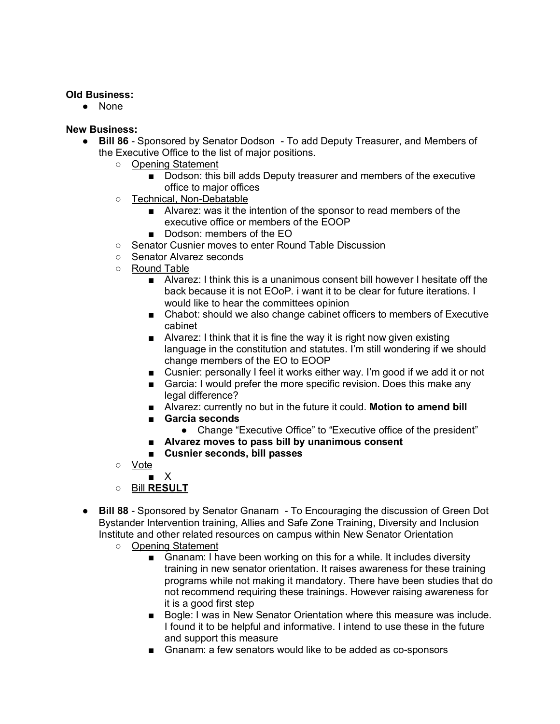### **Old Business:**

● None

#### **New Business:**

- **Bill 86** Sponsored by Senator Dodson To add Deputy Treasurer, and Members of the Executive Office to the list of major positions.
	- Opening Statement
		- Dodson: this bill adds Deputy treasurer and members of the executive office to major offices
	- Technical, Non-Debatable
		- Alvarez: was it the intention of the sponsor to read members of the executive office or members of the EOOP
		- Dodson: members of the EO
	- Senator Cusnier moves to enter Round Table Discussion
	- Senator Alvarez seconds
	- Round Table
		- Alvarez: I think this is a unanimous consent bill however I hesitate off the back because it is not EOoP. i want it to be clear for future iterations. I would like to hear the committees opinion
		- Chabot: should we also change cabinet officers to members of Executive cabinet
		- Alvarez: I think that it is fine the way it is right now given existing language in the constitution and statutes. I'm still wondering if we should change members of the EO to EOOP
		- Cusnier: personally I feel it works either way. I'm good if we add it or not
		- Garcia: I would prefer the more specific revision. Does this make any legal difference?
		- Alvarez: currently no but in the future it could. **Motion to amend bill**
		- **Garcia seconds**
			- Change "Executive Office" to "Executive office of the president"
		- **Alvarez moves to pass bill by unanimous consent**
		- **Cusnier seconds, bill passes**
	- Vote
		- X
	- Bill **RESULT**
- **Bill 88** Sponsored by Senator Gnanam To Encouraging the discussion of Green Dot Bystander Intervention training, Allies and Safe Zone Training, Diversity and Inclusion Institute and other related resources on campus within New Senator Orientation
	- Opening Statement
		- Gnanam: I have been working on this for a while. It includes diversity training in new senator orientation. It raises awareness for these training programs while not making it mandatory. There have been studies that do not recommend requiring these trainings. However raising awareness for it is a good first step
		- Bogle: I was in New Senator Orientation where this measure was include. I found it to be helpful and informative. I intend to use these in the future and support this measure
		- Gnanam: a few senators would like to be added as co-sponsors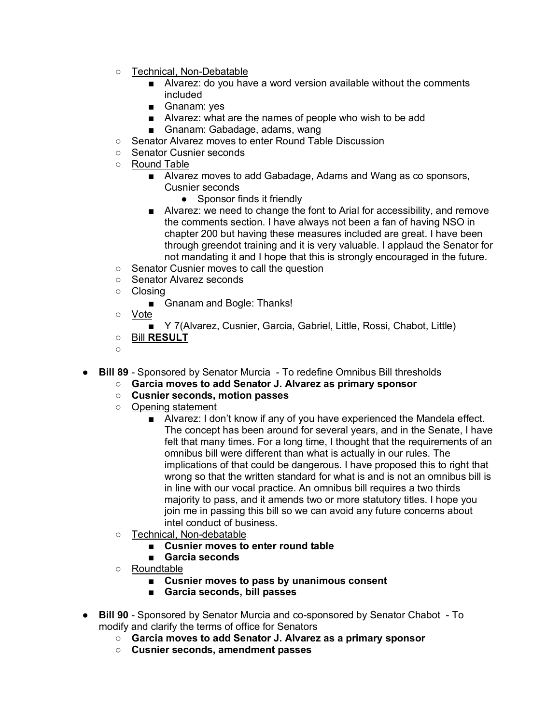- Technical, Non-Debatable
	- Alvarez: do you have a word version available without the comments included
	- Gnanam: yes
	- Alvarez: what are the names of people who wish to be add
	- Gnanam: Gabadage, adams, wang
- Senator Alvarez moves to enter Round Table Discussion
- Senator Cusnier seconds
- Round Table
	- Alvarez moves to add Gabadage, Adams and Wang as co sponsors, Cusnier seconds
		- Sponsor finds it friendly
	- Alvarez: we need to change the font to Arial for accessibility, and remove the comments section. I have always not been a fan of having NSO in chapter 200 but having these measures included are great. I have been through greendot training and it is very valuable. I applaud the Senator for not mandating it and I hope that this is strongly encouraged in the future.
- Senator Cusnier moves to call the question
- Senator Alvarez seconds
- Closing
	- Gnanam and Bogle: Thanks!
- Vote
	- Y 7(Alvarez, Cusnier, Garcia, Gabriel, Little, Rossi, Chabot, Little)
- Bill **RESULT**
- ○
- **Bill 89** Sponsored by Senator Murcia To redefine Omnibus Bill thresholds
	- **Garcia moves to add Senator J. Alvarez as primary sponsor**
	- **Cusnier seconds, motion passes**
	- Opening statement
		- Alvarez: I don't know if any of you have experienced the Mandela effect. The concept has been around for several years, and in the Senate, I have felt that many times. For a long time, I thought that the requirements of an omnibus bill were different than what is actually in our rules. The implications of that could be dangerous. I have proposed this to right that wrong so that the written standard for what is and is not an omnibus bill is in line with our vocal practice. An omnibus bill requires a two thirds majority to pass, and it amends two or more statutory titles. I hope you join me in passing this bill so we can avoid any future concerns about intel conduct of business.
	- Technical, Non-debatable
		- **Cusnier moves to enter round table**
		- **Garcia seconds**
	- Roundtable
		- **Cusnier moves to pass by unanimous consent**
		- **Garcia seconds, bill passes**
- **Bill 90** Sponsored by Senator Murcia and co-sponsored by Senator Chabot To modify and clarify the terms of office for Senators
	- **Garcia moves to add Senator J. Alvarez as a primary sponsor**
	- **Cusnier seconds, amendment passes**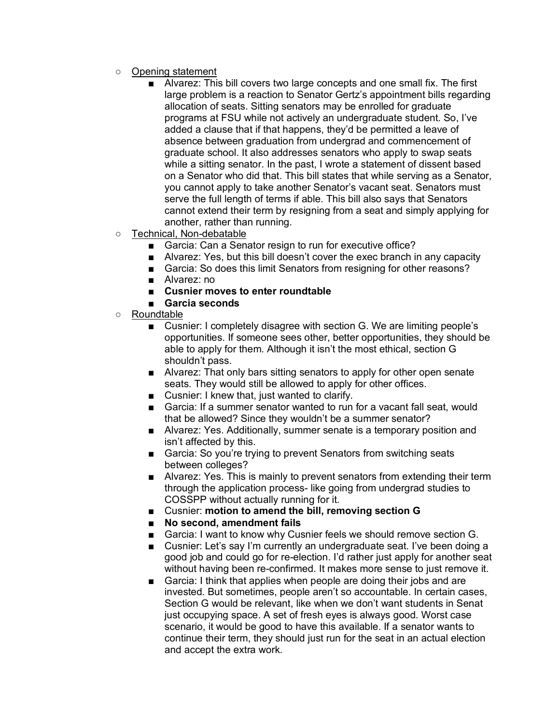- Opening statement
	- Alvarez: This bill covers two large concepts and one small fix. The first large problem is a reaction to Senator Gertz's appointment bills regarding allocation of seats. Sitting senators may be enrolled for graduate programs at FSU while not actively an undergraduate student. So, I've added a clause that if that happens, they'd be permitted a leave of absence between graduation from undergrad and commencement of graduate school. It also addresses senators who apply to swap seats while a sitting senator. In the past, I wrote a statement of dissent based on a Senator who did that. This bill states that while serving as a Senator, you cannot apply to take another Senator's vacant seat. Senators must serve the full length of terms if able. This bill also says that Senators cannot extend their term by resigning from a seat and simply applying for another, rather than running.
- Technical, Non-debatable
	- Garcia: Can a Senator resign to run for executive office?
	- Alvarez: Yes, but this bill doesn't cover the exec branch in any capacity
	- Garcia: So does this limit Senators from resigning for other reasons?
	- Alvarez: no
	- **Cusnier moves to enter roundtable**
	- **Garcia seconds**
- Roundtable
	- Cusnier: I completely disagree with section G. We are limiting people's opportunities. If someone sees other, better opportunities, they should be able to apply for them. Although it isn't the most ethical, section G shouldn't pass.
	- Alvarez: That only bars sitting senators to apply for other open senate seats. They would still be allowed to apply for other offices.
	- Cusnier: I knew that, just wanted to clarify.
	- Garcia: If a summer senator wanted to run for a vacant fall seat, would that be allowed? Since they wouldn't be a summer senator?
	- Alvarez: Yes. Additionally, summer senate is a temporary position and isn't affected by this.
	- Garcia: So you're trying to prevent Senators from switching seats between colleges?
	- Alvarez: Yes. This is mainly to prevent senators from extending their term through the application process- like going from undergrad studies to COSSPP without actually running for it.
	- Cusnier: **motion to amend the bill, removing section G**
	- **No second, amendment fails**
	- Garcia: I want to know why Cusnier feels we should remove section G.
	- Cusnier: Let's say I'm currently an undergraduate seat. I've been doing a good job and could go for re-election. I'd rather just apply for another seat without having been re-confirmed. It makes more sense to just remove it.
	- Garcia: I think that applies when people are doing their jobs and are invested. But sometimes, people aren't so accountable. In certain cases, Section G would be relevant, like when we don't want students in Senat just occupying space. A set of fresh eyes is always good. Worst case scenario, it would be good to have this available. If a senator wants to continue their term, they should just run for the seat in an actual election and accept the extra work.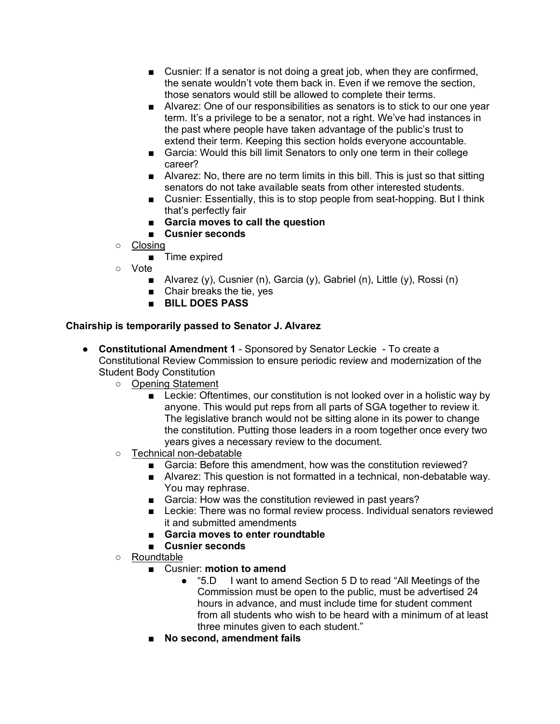- Cusnier: If a senator is not doing a great job, when they are confirmed, the senate wouldn't vote them back in. Even if we remove the section, those senators would still be allowed to complete their terms.
- Alvarez: One of our responsibilities as senators is to stick to our one year term. It's a privilege to be a senator, not a right. We've had instances in the past where people have taken advantage of the public's trust to extend their term. Keeping this section holds everyone accountable.
- Garcia: Would this bill limit Senators to only one term in their college career?
- Alvarez: No, there are no term limits in this bill. This is just so that sitting senators do not take available seats from other interested students.
- Cusnier: Essentially, this is to stop people from seat-hopping. But I think that's perfectly fair
- **Garcia moves to call the question**
- **Cusnier seconds**
- Closing
	- Time expired
- Vote
	- Alvarez (y), Cusnier (n), Garcia (y), Gabriel (n), Little (y), Rossi (n)
	- Chair breaks the tie, yes
	- **BILL DOES PASS**

# **Chairship is temporarily passed to Senator J. Alvarez**

- **Constitutional Amendment 1** Sponsored by Senator Leckie To create a Constitutional Review Commission to ensure periodic review and modernization of the Student Body Constitution
	- Opening Statement
		- Leckie: Oftentimes, our constitution is not looked over in a holistic way by anyone. This would put reps from all parts of SGA together to review it. The legislative branch would not be sitting alone in its power to change the constitution. Putting those leaders in a room together once every two years gives a necessary review to the document.
	- Technical non-debatable
		- Garcia: Before this amendment, how was the constitution reviewed?
		- Alvarez: This question is not formatted in a technical, non-debatable way. You may rephrase.
		- Garcia: How was the constitution reviewed in past years?
		- Leckie: There was no formal review process. Individual senators reviewed it and submitted amendments
		- **Garcia moves to enter roundtable**
		- **Cusnier seconds**
	- Roundtable
		- Cusnier: **motion to amend** 
			- "5.D I want to amend Section 5 D to read "All Meetings of the Commission must be open to the public, must be advertised 24 hours in advance, and must include time for student comment from all students who wish to be heard with a minimum of at least three minutes given to each student."
		- **No second, amendment fails**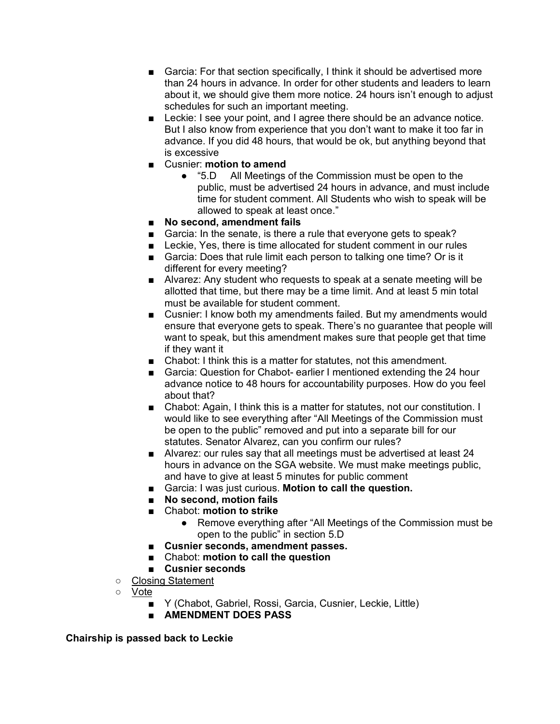- Garcia: For that section specifically, I think it should be advertised more than 24 hours in advance. In order for other students and leaders to learn about it, we should give them more notice. 24 hours isn't enough to adjust schedules for such an important meeting.
- Leckie: I see your point, and I agree there should be an advance notice. But I also know from experience that you don't want to make it too far in advance. If you did 48 hours, that would be ok, but anything beyond that is excessive
- Cusnier: **motion to amend** 
	- "5.D All Meetings of the Commission must be open to the public, must be advertised 24 hours in advance, and must include time for student comment. All Students who wish to speak will be allowed to speak at least once."
- **No second, amendment fails**
- Garcia: In the senate, is there a rule that everyone gets to speak?
- Leckie, Yes, there is time allocated for student comment in our rules
- Garcia: Does that rule limit each person to talking one time? Or is it different for every meeting?
- Alvarez: Any student who requests to speak at a senate meeting will be allotted that time, but there may be a time limit. And at least 5 min total must be available for student comment.
- Cusnier: I know both my amendments failed. But my amendments would ensure that everyone gets to speak. There's no guarantee that people will want to speak, but this amendment makes sure that people get that time if they want it
- Chabot: I think this is a matter for statutes, not this amendment.
- Garcia: Question for Chabot- earlier I mentioned extending the 24 hour advance notice to 48 hours for accountability purposes. How do you feel about that?
- Chabot: Again, I think this is a matter for statutes, not our constitution. I would like to see everything after "All Meetings of the Commission must be open to the public" removed and put into a separate bill for our statutes. Senator Alvarez, can you confirm our rules?
- Alvarez: our rules say that all meetings must be advertised at least 24 hours in advance on the SGA website. We must make meetings public, and have to give at least 5 minutes for public comment
- Garcia: I was just curious. Motion to call the question.
- **No second, motion fails**
- Chabot: **motion to strike**
	- Remove everything after "All Meetings of the Commission must be open to the public" in section 5.D
- **Cusnier seconds, amendment passes.**
- Chabot: **motion to call the question**
- **Cusnier seconds**
- Closing Statement
- Vote
	- Y (Chabot, Gabriel, Rossi, Garcia, Cusnier, Leckie, Little)
	- **AMENDMENT DOES PASS**

**Chairship is passed back to Leckie**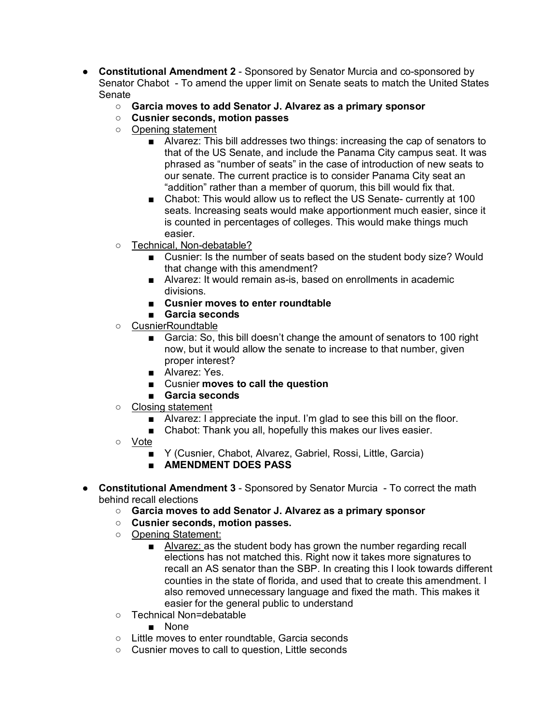- **Constitutional Amendment 2** Sponsored by Senator Murcia and co-sponsored by Senator Chabot - To amend the upper limit on Senate seats to match the United States **Senate** 
	- **Garcia moves to add Senator J. Alvarez as a primary sponsor**
	- **Cusnier seconds, motion passes**
	- Opening statement
		- Alvarez: This bill addresses two things: increasing the cap of senators to that of the US Senate, and include the Panama City campus seat. It was phrased as "number of seats" in the case of introduction of new seats to our senate. The current practice is to consider Panama City seat an "addition" rather than a member of quorum, this bill would fix that.
		- Chabot: This would allow us to reflect the US Senate- currently at 100 seats. Increasing seats would make apportionment much easier, since it is counted in percentages of colleges. This would make things much easier.
	- Technical, Non-debatable?
		- Cusnier: Is the number of seats based on the student body size? Would that change with this amendment?
		- Alvarez: It would remain as-is, based on enrollments in academic divisions.
		- **Cusnier moves to enter roundtable**
		- **Garcia seconds**
	- CusnierRoundtable
		- Garcia: So, this bill doesn't change the amount of senators to 100 right now, but it would allow the senate to increase to that number, given proper interest?
		- Alvarez: Yes.
		- Cusnier **moves to call the question**
		- **Garcia seconds**
	- Closing statement
		- Alvarez: I appreciate the input. I'm glad to see this bill on the floor.
		- Chabot: Thank you all, hopefully this makes our lives easier.
	- Vote
		- Y (Cusnier, Chabot, Alvarez, Gabriel, Rossi, Little, Garcia)
		- **AMENDMENT DOES PASS**
- **Constitutional Amendment 3** Sponsored by Senator Murcia To correct the math behind recall elections
	- **Garcia moves to add Senator J. Alvarez as a primary sponsor**
	- **Cusnier seconds, motion passes.**
	- Opening Statement:
		- Alvarez: as the student body has grown the number regarding recall elections has not matched this. Right now it takes more signatures to recall an AS senator than the SBP. In creating this I look towards different counties in the state of florida, and used that to create this amendment. I also removed unnecessary language and fixed the math. This makes it easier for the general public to understand
	- Technical Non=debatable
		- None
	- Little moves to enter roundtable, Garcia seconds
	- Cusnier moves to call to question, Little seconds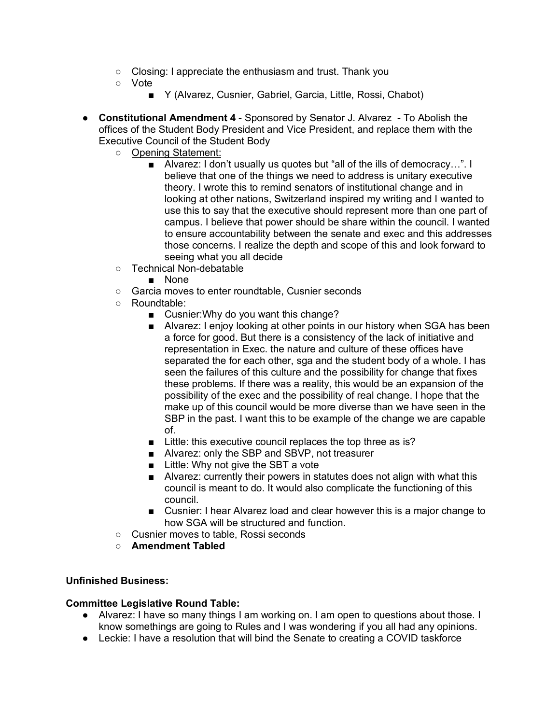- Closing: I appreciate the enthusiasm and trust. Thank you
- Vote
	- Y (Alvarez, Cusnier, Gabriel, Garcia, Little, Rossi, Chabot)
- **Constitutional Amendment 4** Sponsored by Senator J. Alvarez To Abolish the offices of the Student Body President and Vice President, and replace them with the Executive Council of the Student Body
	- Opening Statement:
		- Alvarez: I don't usually us quotes but "all of the ills of democracy...". I believe that one of the things we need to address is unitary executive theory. I wrote this to remind senators of institutional change and in looking at other nations, Switzerland inspired my writing and I wanted to use this to say that the executive should represent more than one part of campus. I believe that power should be share within the council. I wanted to ensure accountability between the senate and exec and this addresses those concerns. I realize the depth and scope of this and look forward to seeing what you all decide
	- Technical Non-debatable
		- None
	- Garcia moves to enter roundtable, Cusnier seconds
	- Roundtable:
		- Cusnier: Why do you want this change?
		- Alvarez: I enjoy looking at other points in our history when SGA has been a force for good. But there is a consistency of the lack of initiative and representation in Exec. the nature and culture of these offices have separated the for each other, sga and the student body of a whole. I has seen the failures of this culture and the possibility for change that fixes these problems. If there was a reality, this would be an expansion of the possibility of the exec and the possibility of real change. I hope that the make up of this council would be more diverse than we have seen in the SBP in the past. I want this to be example of the change we are capable of.
		- Little: this executive council replaces the top three as is?
		- Alvarez: only the SBP and SBVP, not treasurer
		- Little: Why not give the SBT a vote
		- Alvarez: currently their powers in statutes does not align with what this council is meant to do. It would also complicate the functioning of this council.
		- Cusnier: I hear Alvarez load and clear however this is a major change to how SGA will be structured and function.
	- Cusnier moves to table, Rossi seconds
	- **Amendment Tabled**

#### **Unfinished Business:**

## **Committee Legislative Round Table:**

- Alvarez: I have so many things I am working on. I am open to questions about those. I know somethings are going to Rules and I was wondering if you all had any opinions.
- Leckie: I have a resolution that will bind the Senate to creating a COVID taskforce